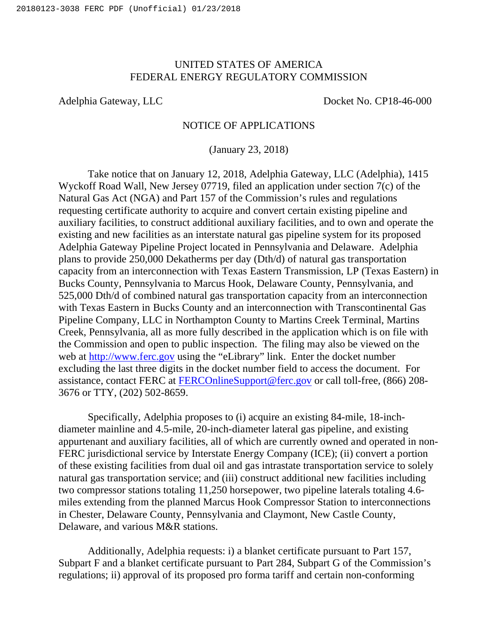## UNITED STATES OF AMERICA FEDERAL ENERGY REGULATORY COMMISSION

Adelphia Gateway, LLC Docket No. CP18-46-000

## NOTICE OF APPLICATIONS

(January 23, 2018)

Take notice that on January 12, 2018, Adelphia Gateway, LLC (Adelphia), 1415 Wyckoff Road Wall, New Jersey 07719, filed an application under section 7(c) of the Natural Gas Act (NGA) and Part 157 of the Commission's rules and regulations requesting certificate authority to acquire and convert certain existing pipeline and auxiliary facilities, to construct additional auxiliary facilities, and to own and operate the existing and new facilities as an interstate natural gas pipeline system for its proposed Adelphia Gateway Pipeline Project located in Pennsylvania and Delaware. Adelphia plans to provide 250,000 Dekatherms per day (Dth/d) of natural gas transportation capacity from an interconnection with Texas Eastern Transmission, LP (Texas Eastern) in Bucks County, Pennsylvania to Marcus Hook, Delaware County, Pennsylvania, and 525,000 Dth/d of combined natural gas transportation capacity from an interconnection with Texas Eastern in Bucks County and an interconnection with Transcontinental Gas Pipeline Company, LLC in Northampton County to Martins Creek Terminal, Martins Creek, Pennsylvania, all as more fully described in the application which is on file with the Commission and open to public inspection. The filing may also be viewed on the web at http://www.ferc.gov using the "eLibrary" link. Enter the docket number excluding the last three digits in the docket number field to access the document. For assistance, contact FERC at FERCOnlineSupport@ferc.gov or call toll-free, (866) 208- 3676 or TTY, (202) 502-8659.

Specifically, Adelphia proposes to (i) acquire an existing 84-mile, 18-inchdiameter mainline and 4.5-mile, 20-inch-diameter lateral gas pipeline, and existing appurtenant and auxiliary facilities, all of which are currently owned and operated in non-FERC jurisdictional service by Interstate Energy Company (ICE); (ii) convert a portion of these existing facilities from dual oil and gas intrastate transportation service to solely natural gas transportation service; and (iii) construct additional new facilities including two compressor stations totaling 11,250 horsepower, two pipeline laterals totaling 4.6 miles extending from the planned Marcus Hook Compressor Station to interconnections in Chester, Delaware County, Pennsylvania and Claymont, New Castle County, Delaware, and various M&R stations.

Additionally, Adelphia requests: i) a blanket certificate pursuant to Part 157, Subpart F and a blanket certificate pursuant to Part 284, Subpart G of the Commission's regulations; ii) approval of its proposed pro forma tariff and certain non-conforming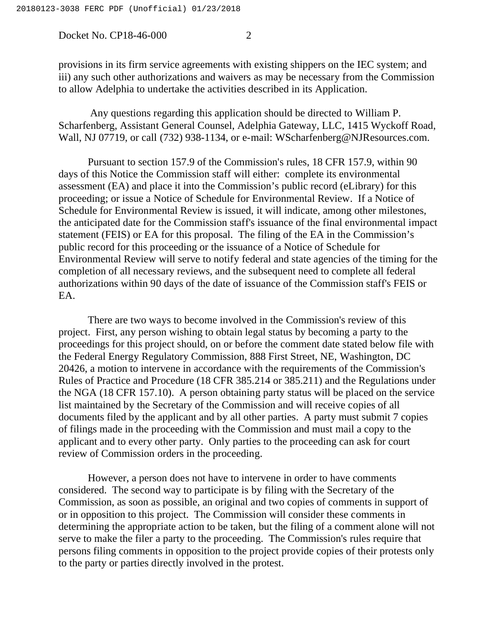Docket No. CP18-46-000 2

provisions in its firm service agreements with existing shippers on the IEC system; and iii) any such other authorizations and waivers as may be necessary from the Commission to allow Adelphia to undertake the activities described in its Application.

 Any questions regarding this application should be directed to William P. Scharfenberg, Assistant General Counsel, Adelphia Gateway, LLC, 1415 Wyckoff Road, Wall, NJ 07719, or call (732) 938-1134, or e-mail: WScharfenberg@NJResources.com.

Pursuant to section 157.9 of the Commission's rules, 18 CFR 157.9, within 90 days of this Notice the Commission staff will either: complete its environmental assessment (EA) and place it into the Commission's public record (eLibrary) for this proceeding; or issue a Notice of Schedule for Environmental Review. If a Notice of Schedule for Environmental Review is issued, it will indicate, among other milestones, the anticipated date for the Commission staff's issuance of the final environmental impact statement (FEIS) or EA for this proposal. The filing of the EA in the Commission's public record for this proceeding or the issuance of a Notice of Schedule for Environmental Review will serve to notify federal and state agencies of the timing for the completion of all necessary reviews, and the subsequent need to complete all federal authorizations within 90 days of the date of issuance of the Commission staff's FEIS or EA.

There are two ways to become involved in the Commission's review of this project. First, any person wishing to obtain legal status by becoming a party to the proceedings for this project should, on or before the comment date stated below file with the Federal Energy Regulatory Commission, 888 First Street, NE, Washington, DC 20426, a motion to intervene in accordance with the requirements of the Commission's Rules of Practice and Procedure (18 CFR 385.214 or 385.211) and the Regulations under the NGA (18 CFR 157.10). A person obtaining party status will be placed on the service list maintained by the Secretary of the Commission and will receive copies of all documents filed by the applicant and by all other parties. A party must submit 7 copies of filings made in the proceeding with the Commission and must mail a copy to the applicant and to every other party. Only parties to the proceeding can ask for court review of Commission orders in the proceeding.

However, a person does not have to intervene in order to have comments considered. The second way to participate is by filing with the Secretary of the Commission, as soon as possible, an original and two copies of comments in support of or in opposition to this project. The Commission will consider these comments in determining the appropriate action to be taken, but the filing of a comment alone will not serve to make the filer a party to the proceeding. The Commission's rules require that persons filing comments in opposition to the project provide copies of their protests only to the party or parties directly involved in the protest.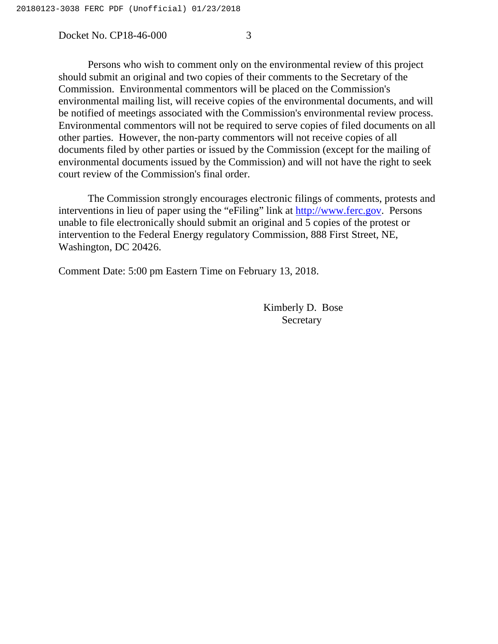Docket No. CP18-46-000 3

Persons who wish to comment only on the environmental review of this project should submit an original and two copies of their comments to the Secretary of the Commission. Environmental commentors will be placed on the Commission's environmental mailing list, will receive copies of the environmental documents, and will be notified of meetings associated with the Commission's environmental review process. Environmental commentors will not be required to serve copies of filed documents on all other parties. However, the non-party commentors will not receive copies of all documents filed by other parties or issued by the Commission (except for the mailing of environmental documents issued by the Commission) and will not have the right to seek court review of the Commission's final order.

The Commission strongly encourages electronic filings of comments, protests and interventions in lieu of paper using the "eFiling" link at http://www.ferc.gov. Persons unable to file electronically should submit an original and 5 copies of the protest or intervention to the Federal Energy regulatory Commission, 888 First Street, NE, Washington, DC 20426.

Comment Date: 5:00 pm Eastern Time on February 13, 2018.

Kimberly D. Bose Secretary